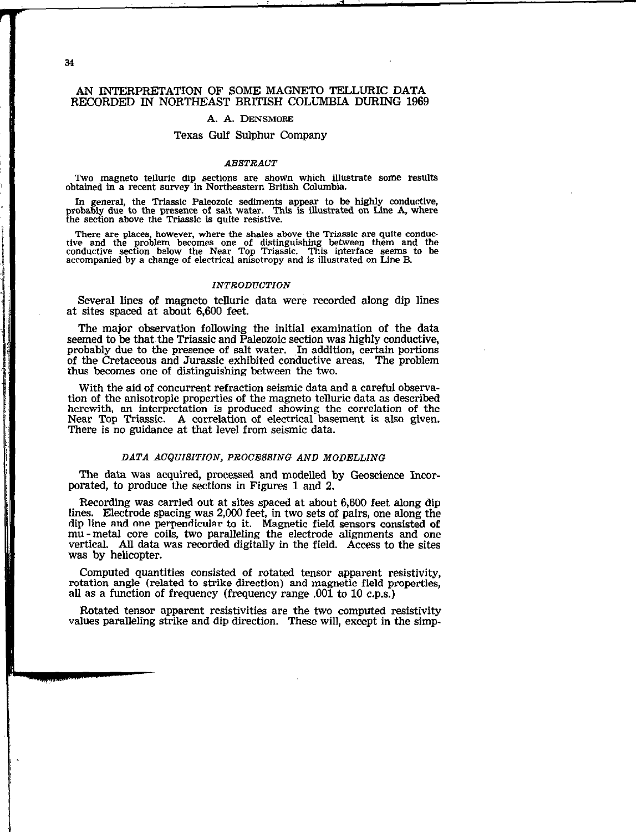$\label{eq:3.1} \frac{1}{\sqrt{2\pi}}\int_{0}^{\frac{\pi}{2}}\frac{1}{\sqrt{2\pi}}\int_{0}^{\frac{\pi}{2}}\frac{1}{\sqrt{2\pi}}\int_{0}^{\frac{\pi}{2}}\frac{1}{\sqrt{2\pi}}\frac{1}{\sqrt{2\pi}}\int_{0}^{\frac{\pi}{2}}\frac{1}{\sqrt{2\pi}}\frac{1}{\sqrt{2\pi}}\int_{0}^{\frac{\pi}{2}}\frac{1}{\sqrt{2\pi}}\frac{1}{\sqrt{2\pi}}\int_{0}^{\frac{\pi}{2}}\frac{1}{\sqrt{2\pi}}\frac{1}{\sqrt{2\pi}}\$ 

## AN INTERPRETATION OF SOME MAGNETO TELLIJRIC DATA RECORDED IN NORTHEAST BRITISH COLUMBIA DURING 1969

#### A. A. DENSMORE

## Texas Gulf Sulphur Company

#### ABSTRACT

Two magneto telluric dip sections are shown which illustrate some results obtained in a recent survey in Northeastern British Columbia.

In general, the Triassic Paleozoic sediments appear to be highly conductive, probably due to the presence of salt water. This is illustrated on Line A, where the section above the Triassic is quite resistive.

There are places, however, where the shales above the Triassic are quite conductive and the problem becomes one of distinguishing between them and the conductive section below the Near Top Triassic. This interface seems to accompanied by a change of electrical anisotropy and is illustrated on Line B.

## INTRODUCTION

Several lines of magneto telluric data were recorded along dip lines at sites spaced at about 6,600 feet.

The major observation following the initial examination of the data seemed to be that the Triassic and Paleozoic section was highly conductive, probably due to the presence of salt water. In addition, certain portions of the Cretaceous and Jurassic exhibited conductive areas. The problem thus becomes one of distinguishing between the two.

With the aid of concurrent refraction seismic data and a careful observation of the anisotropic properties of the magneto telluric data as described herewith, an interpretation is produced showing the correlation of the Near Top Triassic. A correlation of electrical basement is also given. There is no guidance at that level from seismic data.

## DATA ACQUISITION, PROCESSING AND MODELLING

The data was acquired, processed and modelled by Geoscience Incorporated, to produce the sections in Figures 1 and 2.

Recording was carried out at sites spaced at about 6,600 feet along dip lines. Electrode spacing was 2,000 feet, in two sets of pairs, one along the dip line and one perpendicular to it. Magnetic field sensors consisted of mu -metal core coils, two paralleling the electrode alignments and one vertical. All data was recorded digitally in the field. Access to the sites was by helicopter.

Computed quantities consisted of rotated tensor apparent resistivity, rotation angle (related to strike direction) and magnetic field properties, all as a function of frequency (frequency range .OOl to 10 c.p.s.)

Rotated tensor apparent resistivities are the two computed resistivity values paralleling strike and dip direction. These will, except in the simp-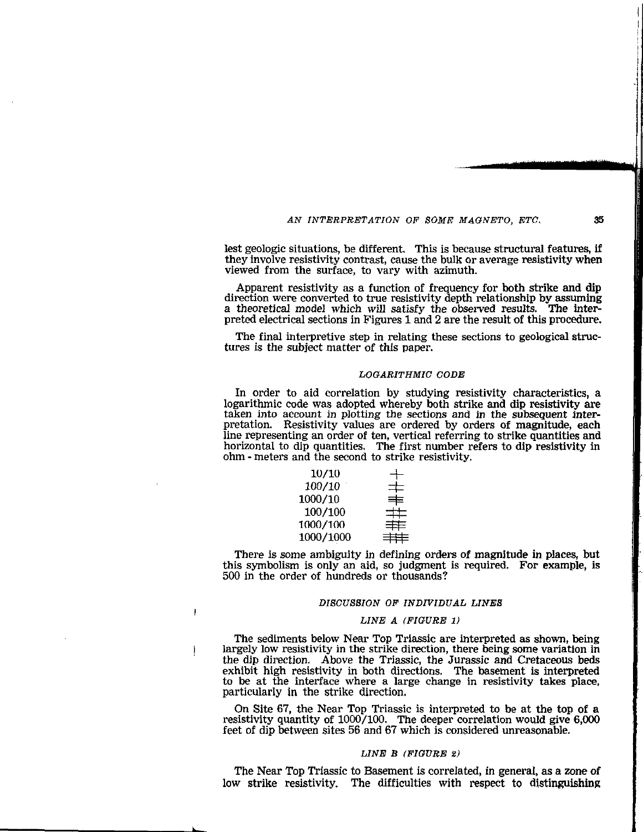# AN INTERPRETATION OF SOME MAGNETO, ETC. 35

lest geologic situations, be different. This is because structural features, if they involve resistivity contrast, cause the bulk or average resistivity when viewed from the surface, to vary with azimuth.

Apparent resistivity as a function of frequency for both strike and dip direction were converted to true resistivity depth relationship by assuming a theoretical model which will satisfy the observed results. The interpreted electrical sections in Figures 1 and 2 are the result of this procedure.

The final interpretive step in relating these sections to geological structures is the subject matter of this paper.

#### LOGARITHMIC CODE

In order to aid correlation by studying resistivity characteristics, a logarithmic code was adopted whereby both strike and dip resistivity are taken into account in plotting the sections and in the subsequent interpretation. Resistivity values are ordered by orders of magnitude, each line representing an order of ten, vertical referring to strike quantities and horizontal to dip quantities. The first number refers to dip resistivity in ohm - meters and the second to strike resistivity.

| 10/10     |          |
|-----------|----------|
| 100/10    | 丰        |
| 1000/10   | ≢        |
| 100/100   | $\pm\pm$ |
| 1000/100  | 羊        |
| 1000/1000 | 丰丰       |
|           |          |

I

There is some ambiguity in defining orders of magnitude in places, but this symbolism is only an aid, so judgment is required. For example, is 500 in the order of hundreds or thousands?

#### DISCUSSION OF INDIVIDUAL LINES

#### LINE A (FIGURE 1)

The sediments below Near Top Triassic are interpreted as shown, being largely low resistivity in the strike direction, there being some variation in the dip direction. Above the Triassic, the Jurassic and Cretaceous beds  $\frac{1}{2}$  exhibit high resistivity in both directions. The basement is interpreted to be at the interface where a large change in resistivity takes place, particularly in the strike direction.

On Site 67, the Near Top Triassic is interpreted to be at the top of a resistivity quantity of  $1000/100$ . The deeper correlation would give 6,000 feet of dip between sites 56 and 67 which is considered unreasonable.

### LINE B (FIGURE 2)

The Near Top Triassic to Basement is correlated, in general, as a zone of low strike resistivity. The difficulties with respect to distinguishing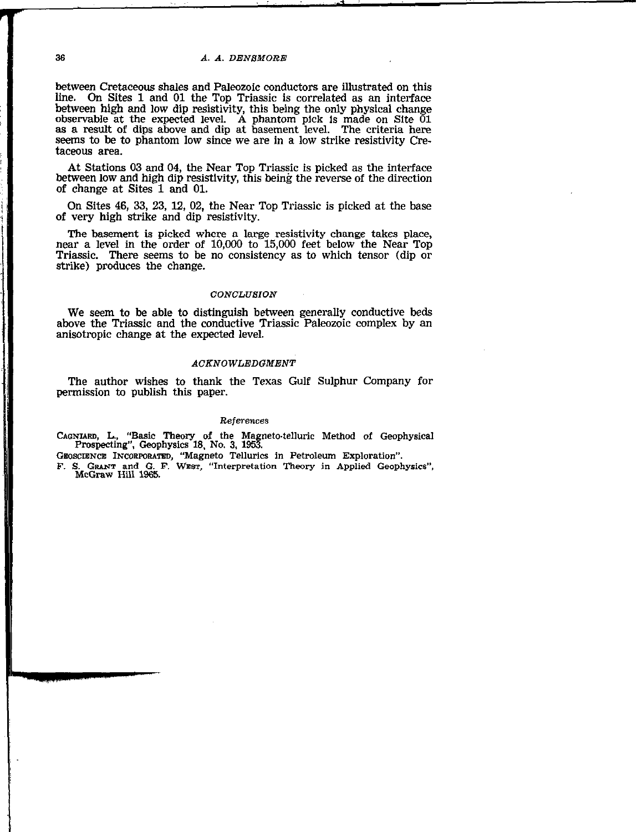## 36 A. A. DENSMORE

between Cretaceous shales and Paleozoic conductors are ihustrated on this line. On Sites 1 and 01 the Top Triassic is correlated as an interface between high and low dip resistivity, this being the only physical change observable at the expected level. A phantom pick is made on Site 01 as a result of dips above and dip at basement level. The criteria here seems to be to phantom low since we are in a low strike resistivity Cretaceous area.

At Stations 03 and 04, the Near Top Triassic is picked as the interface between low and high dip resistivity, this being the reverse of the direction of change at Sites 1 and 01.

On Sites 46, 33, 23, 12, 02, the Near Top Triassic is picked at the base of very high strike and dip resistivity.

The basement is picked where a large resistivity change takes place, near a level in the order of 10,000 to 15,000 feet below the Near Top Triassic. There seems to be no consistency as to which tensor (dip or strike) produces the change.

## **CONCLUSION**

We seem to be able to distinguish between generally conductive beds above the Triassic and the conductive Triassic Paleozoic complex by an anisotropic change at the expected level.

### ACKNOWLEDGMENT

The author wishes to thank the Texas Gulf Sulphur Company for permission to publish this paper.

#### References

CADNMW, L., "Basic Theory of the Magneto-telluric Method of Geophysical Prospecting". Geophysics 18, No. 3, 1953.

GEOSCIENCE INCORPORATED, "Magneto Tellurics in Petroleum Exploration".

F. S. GRANT and G. F. WEST, "Interpretation Theory in Applied Geophysics" McGraw Hill 1965.

e de la companyation de la construction de la companyation de la companyation de la companyation de la company<br>L'approximation de la companyation de la companyation de la companyation de la companyation de la companyation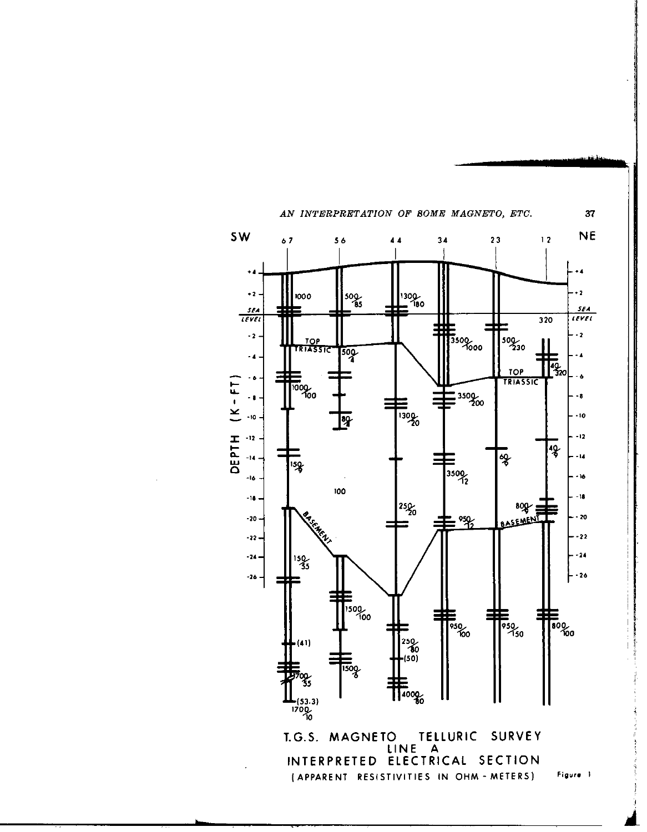